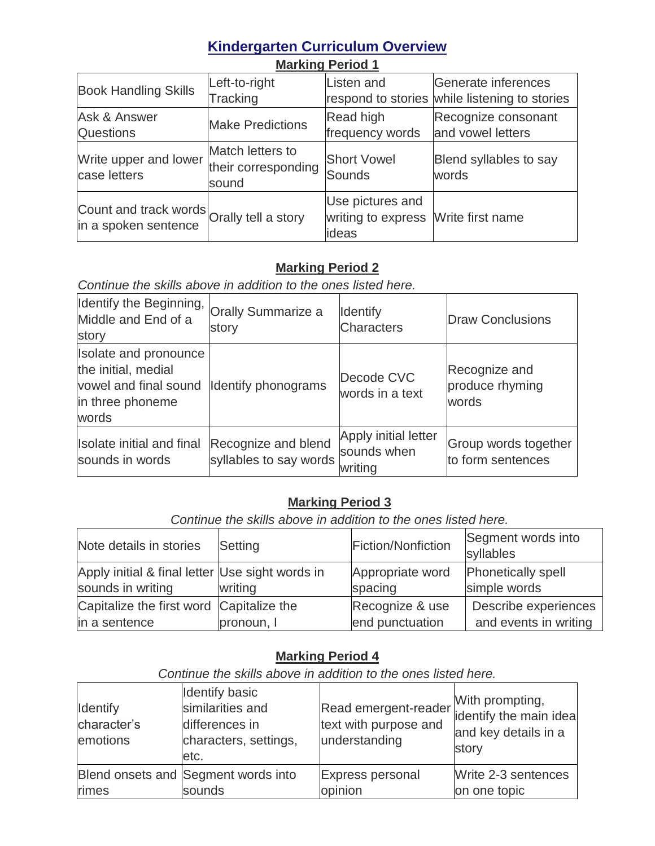# **Kindergarten Curriculum Overview**

| <b>Book Handling Skills</b>                                       | Left-to-right<br>Tracking                        | Listen and                                                       | Generate inferences<br>respond to stories while listening to stories |
|-------------------------------------------------------------------|--------------------------------------------------|------------------------------------------------------------------|----------------------------------------------------------------------|
| <b>Ask &amp; Answer</b><br><b>Questions</b>                       | <b>Make Predictions</b>                          | Read high<br>frequency words                                     | Recognize consonant<br>and vowel letters                             |
| Write upper and lower<br>case letters                             | Match letters to<br>their corresponding<br>sound | <b>Short Vowel</b><br>Sounds                                     | Blend syllables to say<br>words                                      |
| Count and track words Orally tell a story<br>in a spoken sentence |                                                  | Use pictures and<br>writing to express Write first name<br>ideas |                                                                      |

# **Marking Period 1**

### **Marking Period 2**

*Continue the skills above in addition to the ones listed here.*

| Identify the Beginning, Orally Summarize a<br>Middle and End of a<br>story                                             | story                                         | <b>Identify</b><br><b>Characters</b>           | <b>Draw Conclusions</b>                   |
|------------------------------------------------------------------------------------------------------------------------|-----------------------------------------------|------------------------------------------------|-------------------------------------------|
| Isolate and pronounce<br>the initial, medial<br>vowel and final sound Identify phonograms<br>in three phoneme<br>words |                                               | Decode CVC<br>words in a text                  | Recognize and<br>produce rhyming<br>words |
| Isolate initial and final<br>sounds in words                                                                           | Recognize and blend<br>syllables to say words | Apply initial letter<br>sounds when<br>writing | Group words together<br>to form sentences |

## **Marking Period 3**

*Continue the skills above in addition to the ones listed here.*

| Note details in stories                                              | Setting    | Fiction/Nonfiction          | Segment words into<br>syllables           |
|----------------------------------------------------------------------|------------|-----------------------------|-------------------------------------------|
| Apply initial & final letter Use sight words in<br>sounds in writing | writing    | Appropriate word<br>spacing | <b>Phonetically spell</b><br>simple words |
| Capitalize the first word Capitalize the                             |            | Recognize & use             | Describe experiences                      |
| in a sentence                                                        | pronoun, I | end punctuation             | and events in writing                     |

### **Marking Period 4**

| Continue the skills above in addition to the ones ilsted here. |                                                                                              |                                                                |                                                                            |
|----------------------------------------------------------------|----------------------------------------------------------------------------------------------|----------------------------------------------------------------|----------------------------------------------------------------------------|
| <b>Identify</b><br>character's<br>emotions                     | <b>Identify basic</b><br>similarities and<br>differences in<br>characters, settings,<br>etc. | Read emergent-reader<br>text with purpose and<br>understanding | With prompting,<br>identify the main idea<br>and key details in a<br>story |
| rimes                                                          | Blend onsets and Segment words into<br>sounds                                                | <b>Express personal</b><br>opinion                             | Write 2-3 sentences<br>on one topic                                        |

*Continue the skills above in addition to the ones listed here.*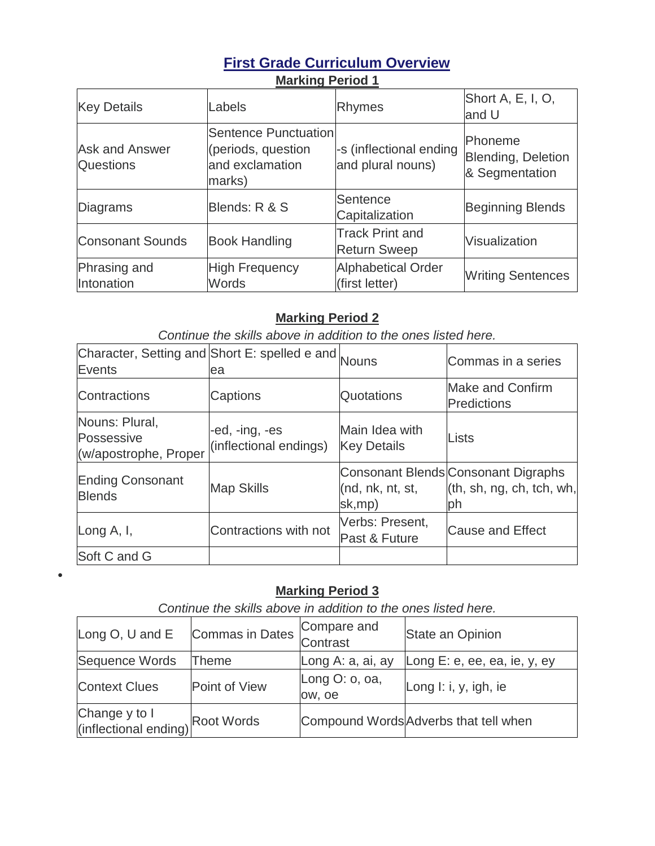# **First Grade Curriculum Overview Marking Period 1**

| <b>Key Details</b>                        | Labels                                                                  | <b>Rhymes</b>                                 | Short A, E, I, O,<br>and U                      |
|-------------------------------------------|-------------------------------------------------------------------------|-----------------------------------------------|-------------------------------------------------|
| <b>Ask and Answer</b><br><b>Questions</b> | Sentence Punctuation<br>(periods, question<br>and exclamation<br>marks) | -s (inflectional ending<br>and plural nouns)  | Phoneme<br>Blending, Deletion<br>& Segmentation |
| <b>Diagrams</b>                           | Blends: R & S                                                           | Sentence<br>Capitalization                    | <b>Beginning Blends</b>                         |
| <b>Consonant Sounds</b>                   | <b>Book Handling</b>                                                    | <b>Track Print and</b><br><b>Return Sweep</b> | Visualization                                   |
| Phrasing and<br>Intonation                | <b>High Frequency</b><br><b>Words</b>                                   | <b>Alphabetical Order</b><br>(first letter)   | <b>Writing Sentences</b>                        |

### **Marking Period 2**

*Continue the skills above in addition to the ones listed here.*

| Character, Setting and Short E: spelled e and Nouns<br>Events | ea                                       |                                      | Commas in a series                                                     |
|---------------------------------------------------------------|------------------------------------------|--------------------------------------|------------------------------------------------------------------------|
| Contractions                                                  | Captions                                 | <b>Quotations</b>                    | <b>Make and Confirm</b><br>Predictions                                 |
| Nouns: Plural,<br>Possessive<br>(w/apostrophe, Proper         | -ed, -ing, -es<br>(inflectional endings) | Main Idea with<br><b>Key Details</b> | Lists                                                                  |
| <b>Ending Consonant</b><br><b>Blends</b>                      | <b>Map Skills</b>                        | (nd, nk, nt, st,<br>sk,mp)           | Consonant Blends Consonant Digraphs<br>(th, sh, ng, ch, tch, wh,<br>ph |
| Long $A, I,$                                                  | Contractions with not                    | Verbs: Present,<br>Past & Future     | <b>Cause and Effect</b>                                                |
| Soft C and G                                                  |                                          |                                      |                                                                        |

## **Marking Period 3**

 $\bullet$ 

| Continue the skills above in addition to the ones listed here. |                                         |                          |                                       |  |
|----------------------------------------------------------------|-----------------------------------------|--------------------------|---------------------------------------|--|
| Long O, U and E                                                | Commas in Dates Compare and<br>Contrast |                          | State an Opinion                      |  |
| Sequence Words                                                 | Theme                                   | Long A: a, ai, ay        | Long E: e, ee, ea, ie, y, ey          |  |
| <b>Context Clues</b>                                           | Point of View                           | Long O: o, oa,<br>ow, oe | Long I: i, y, igh, ie                 |  |
| Change y to I<br>(inflectional ending) Root Words              |                                         |                          | Compound Words Adverbs that tell when |  |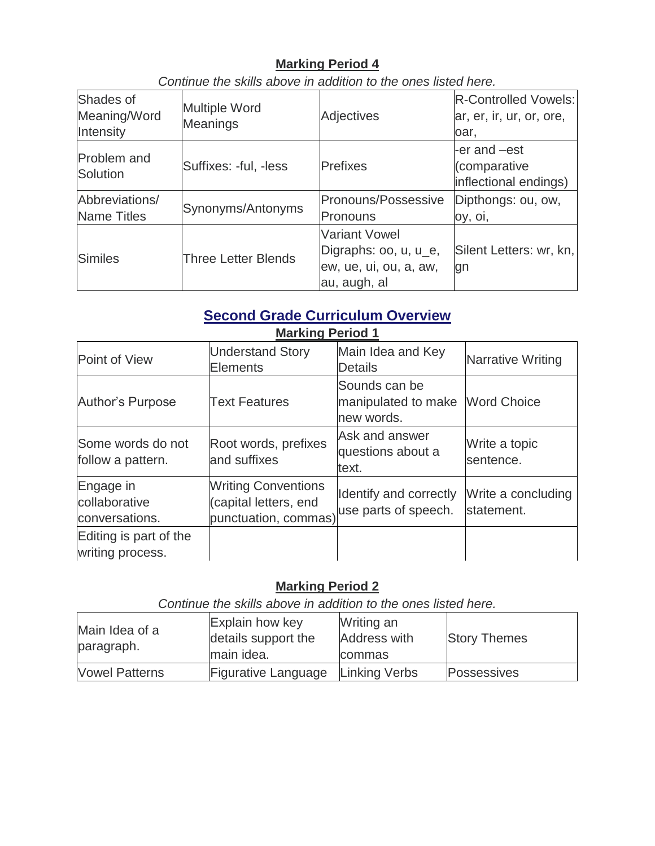### **Marking Period 4**

| Shades of<br>Meaning/Word<br>Intensity | <b>Multiple Word</b><br><b>Meanings</b> | <b>Adjectives</b>                                                                       | <b>R-Controlled Vowels:</b><br>ar, er, ir, ur, or, ore,<br>oar. |
|----------------------------------------|-----------------------------------------|-----------------------------------------------------------------------------------------|-----------------------------------------------------------------|
| Problem and<br>Solution                | Suffixes: -ful, -less                   | <b>Prefixes</b>                                                                         | -er and -est<br>(comparative<br>inflectional endings)           |
| Abbreviations/<br><b>Name Titles</b>   | Synonyms/Antonyms                       | Pronouns/Possessive<br>Pronouns                                                         | Dipthongs: ou, ow,<br>oy, oi,                                   |
| <b>Similes</b>                         | <b>Three Letter Blends</b>              | <b>Variant Vowel</b><br>Digraphs: oo, u, u_e,<br>ew, ue, ui, ou, a, aw,<br>au, augh, al | Silent Letters: wr, kn,<br>gn                                   |

*Continue the skills above in addition to the ones listed here.*

# **Second Grade Curriculum Overview**

| <b>Marking Period 1</b>                      |                                                                             |                                                                |                                  |  |
|----------------------------------------------|-----------------------------------------------------------------------------|----------------------------------------------------------------|----------------------------------|--|
| Point of View                                | <b>Understand Story</b><br><b>Elements</b>                                  | Main Idea and Key<br><b>Details</b>                            | Narrative Writing                |  |
| Author's Purpose                             | <b>Text Features</b>                                                        | Sounds can be<br>manipulated to make Word Choice<br>new words. |                                  |  |
| Some words do not<br>follow a pattern.       | Root words, prefixes<br>and suffixes                                        | Ask and answer<br>questions about a<br>text.                   | Write a topic<br>sentence.       |  |
| Engage in<br>collaborative<br>conversations. | <b>Writing Conventions</b><br>(capital letters, end<br>punctuation, commas) | Identify and correctly<br>use parts of speech.                 | Write a concluding<br>statement. |  |
| Editing is part of the<br>writing process.   |                                                                             |                                                                |                                  |  |

## **Marking Period 2**

*Continue the skills above in addition to the ones listed here.*

| Main Idea of a<br>paragraph. | Explain how key<br>details support the<br>main idea. | Writing an<br><b>Address with</b><br><b>commas</b> | <b>Story Themes</b> |
|------------------------------|------------------------------------------------------|----------------------------------------------------|---------------------|
| <b>Vowel Patterns</b>        | Figurative Language                                  | Linking Verbs                                      | Possessives         |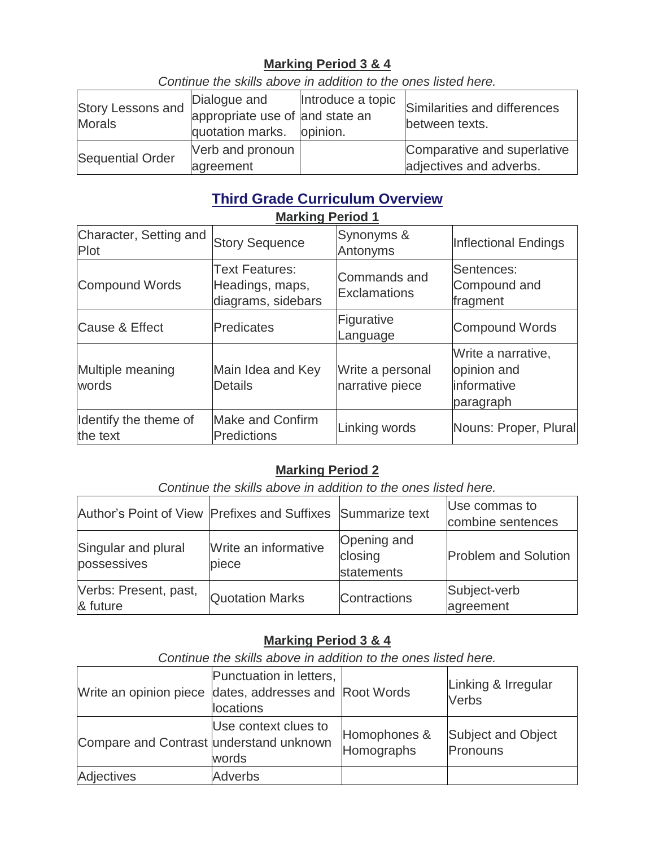## **Marking Period 3 & 4**

Story Lessons and **Morals** Dialogue and appropriate use of and state an quotation marks. Introduce a topic opinion. Similarities and differences between texts. Sequential Order Verb and pronoun agreement Comparative and superlative adjectives and adverbs.

*Continue the skills above in addition to the ones listed here.*

#### **Third Grade Curriculum Overview Marking Period 1**

| Character, Setting and<br>Plot    | <b>Story Sequence</b>                                          | Synonyms &<br>Antonyms              | Inflectional Endings                                          |  |
|-----------------------------------|----------------------------------------------------------------|-------------------------------------|---------------------------------------------------------------|--|
| <b>Compound Words</b>             | <b>Text Features:</b><br>Headings, maps,<br>diagrams, sidebars | Commands and<br><b>Exclamations</b> | Sentences:<br>Compound and<br>fragment                        |  |
| <b>Cause &amp; Effect</b>         | Predicates                                                     | Figurative<br>Language              | <b>Compound Words</b>                                         |  |
| Multiple meaning<br>words         | Main Idea and Key<br><b>Details</b>                            | Write a personal<br>narrative piece | Write a narrative,<br>opinion and<br>informative<br>paragraph |  |
| Identify the theme of<br>the text | <b>Make and Confirm</b><br><b>Predictions</b>                  | Linking words                       | Nouns: Proper, Plural                                         |  |

### **Marking Period 2**

*Continue the skills above in addition to the ones listed here.*

| Author's Point of View Prefixes and Suffixes Summarize text |                               |                                      | Use commas to<br>combine sentences |
|-------------------------------------------------------------|-------------------------------|--------------------------------------|------------------------------------|
| Singular and plural<br>possessives                          | Write an informative<br>piece | Opening and<br>closing<br>statements | <b>Problem and Solution</b>        |
| Verbs: Present, past,<br>& future                           | <b>Quotation Marks</b>        | Contractions                         | Subject-verb<br>agreement          |

## **Marking Period 3 & 4**

*Continue the skills above in addition to the ones listed here.*

| Write an opinion piece dates, addresses and Root Words | Punctuation in letters,<br>locations |                            | Linking & Irregular<br>Verbs          |
|--------------------------------------------------------|--------------------------------------|----------------------------|---------------------------------------|
| Compare and Contrast understand unknown                | Use context clues to<br>words        | Homophones &<br>Homographs | <b>Subject and Object</b><br>Pronouns |
| Adjectives                                             | <b>Adverbs</b>                       |                            |                                       |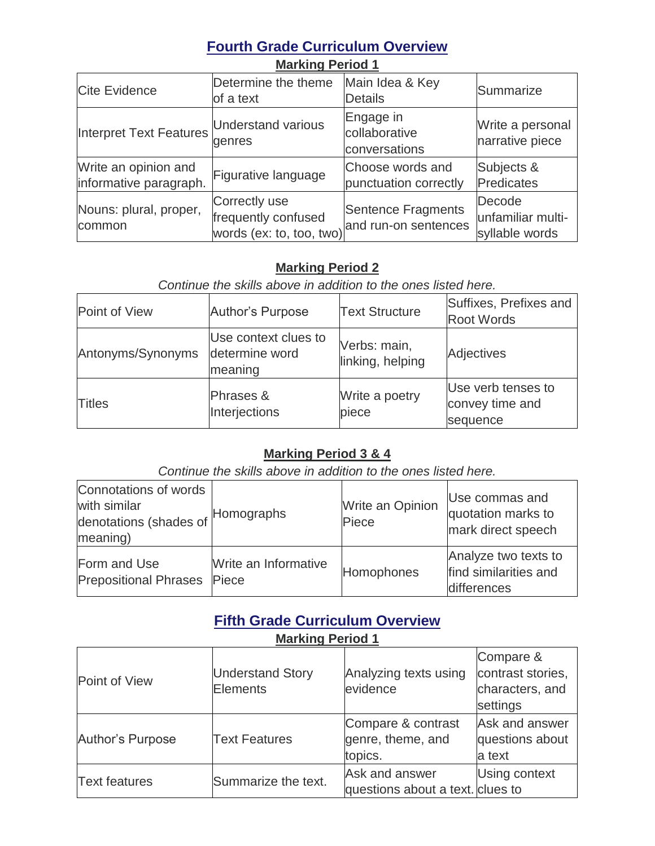# **Fourth Grade Curriculum Overview**

| <b>Marking Period 1</b>                        |                                                                                       |                                             |                                               |  |
|------------------------------------------------|---------------------------------------------------------------------------------------|---------------------------------------------|-----------------------------------------------|--|
| <b>Cite Evidence</b>                           | Determine the theme<br>of a text                                                      | Main Idea & Key<br>Details                  | Summarize                                     |  |
| Interpret Text Features                        | <b>Understand various</b><br>genres                                                   | Engage in<br>collaborative<br>conversations | Write a personal<br>narrative piece           |  |
| Write an opinion and<br>informative paragraph. | Figurative language                                                                   | Choose words and<br>punctuation correctly   | Subjects &<br>Predicates                      |  |
| Nouns: plural, proper,<br>common               | Correctly use<br>frequently confused<br>words (ex: to, too, two) and run-on sentences | Sentence Fragments                          | Decode<br>unfamiliar multi-<br>syllable words |  |

### **Marking Period 2**

## *Continue the skills above in addition to the ones listed here.*

| Point of View     | Author's Purpose                                  | <b>Text Structure</b>            | Suffixes, Prefixes and<br><b>Root Words</b>       |
|-------------------|---------------------------------------------------|----------------------------------|---------------------------------------------------|
| Antonyms/Synonyms | Use context clues to<br>determine word<br>meaning | Verbs: main,<br>linking, helping | <b>Adjectives</b>                                 |
| <b>Titles</b>     | Phrases &<br>Interjections                        | Write a poetry<br>piece          | Use verb tenses to<br>convey time and<br>sequence |

## **Marking Period 3 & 4**

*Continue the skills above in addition to the ones listed here.*

| Connotations of words<br>with similar<br>denotations (shades of Homographs<br>meaning) |                               | Write an Opinion<br>Piece | Use commas and<br>quotation marks to<br>mark direct speech   |
|----------------------------------------------------------------------------------------|-------------------------------|---------------------------|--------------------------------------------------------------|
| Form and Use<br><b>Prepositional Phrases</b>                                           | Write an Informative<br>Piece | Homophones                | Analyze two texts to<br>find similarities and<br>differences |

## **Fifth Grade Curriculum Overview**

| <b>Marking Period 1</b> |                                     |                                                    |                                                               |  |
|-------------------------|-------------------------------------|----------------------------------------------------|---------------------------------------------------------------|--|
| Point of View           | <b>Understand Story</b><br>Elements | Analyzing texts using<br>evidence                  | Compare &<br>contrast stories,<br>characters, and<br>settings |  |
| Author's Purpose        | <b>Text Features</b>                | Compare & contrast<br>genre, theme, and<br>topics. | Ask and answer<br>questions about<br>a text                   |  |
| <b>Text features</b>    | Summarize the text.                 | Ask and answer<br>questions about a text. clues to | <b>Using context</b>                                          |  |